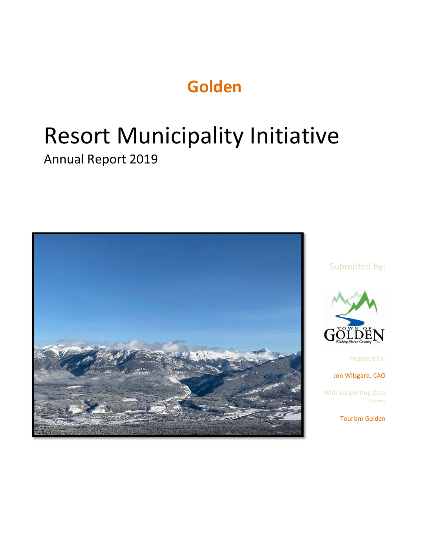# **Golden**

# Resort Municipality Initiative

# Annual Report 2019



#### Submitted by:



Prepared by:

Jon Wilsgard, CAO

With Supporting Data From:

Tourism Golden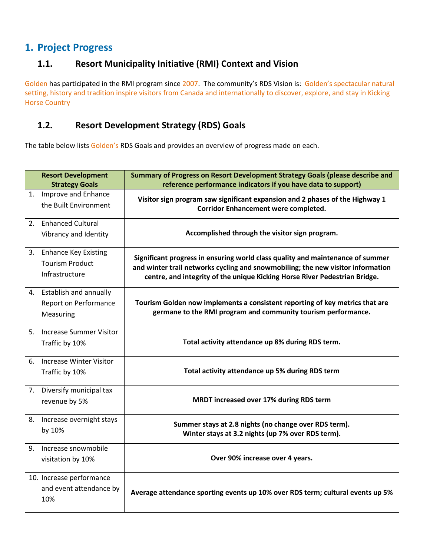### **1. Project Progress**

#### **1.1. Resort Municipality Initiative (RMI) Context and Vision**

Golden has participated in the RMI program since 2007. The community's RDS Vision is: Golden's spectacular natural setting, history and tradition inspire visitors from Canada and internationally to discover, explore, and stay in Kicking Horse Country

#### **1.2. Resort Development Strategy (RDS) Goals**

The table below lists Golden's RDS Goals and provides an overview of progress made on each.

|    | <b>Resort Development</b><br><b>Strategy Goals</b>                  | Summary of Progress on Resort Development Strategy Goals (please describe and<br>reference performance indicators if you have data to support)                                                                                                  |
|----|---------------------------------------------------------------------|-------------------------------------------------------------------------------------------------------------------------------------------------------------------------------------------------------------------------------------------------|
|    | 1. Improve and Enhance<br>the Built Environment                     | Visitor sign program saw significant expansion and 2 phases of the Highway 1<br><b>Corridor Enhancement were completed.</b>                                                                                                                     |
|    | 2. Enhanced Cultural<br>Vibrancy and Identity                       | Accomplished through the visitor sign program.                                                                                                                                                                                                  |
|    | 3. Enhance Key Existing<br><b>Tourism Product</b><br>Infrastructure | Significant progress in ensuring world class quality and maintenance of summer<br>and winter trail networks cycling and snowmobiling; the new visitor information<br>centre, and integrity of the unique Kicking Horse River Pedestrian Bridge. |
|    | 4. Establish and annually<br>Report on Performance<br>Measuring     | Tourism Golden now implements a consistent reporting of key metrics that are<br>germane to the RMI program and community tourism performance.                                                                                                   |
|    | 5. Increase Summer Visitor<br>Traffic by 10%                        | Total activity attendance up 8% during RDS term.                                                                                                                                                                                                |
| 6. | <b>Increase Winter Visitor</b><br>Traffic by 10%                    | Total activity attendance up 5% during RDS term                                                                                                                                                                                                 |
|    | 7. Diversify municipal tax<br>revenue by 5%                         | MRDT increased over 17% during RDS term                                                                                                                                                                                                         |
|    | 8. Increase overnight stays<br>by 10%                               | Summer stays at 2.8 nights (no change over RDS term).<br>Winter stays at 3.2 nights (up 7% over RDS term).                                                                                                                                      |
|    | 9. Increase snowmobile<br>visitation by 10%                         | Over 90% increase over 4 years.                                                                                                                                                                                                                 |
|    | 10. Increase performance<br>and event attendance by<br>10%          | Average attendance sporting events up 10% over RDS term; cultural events up 5%                                                                                                                                                                  |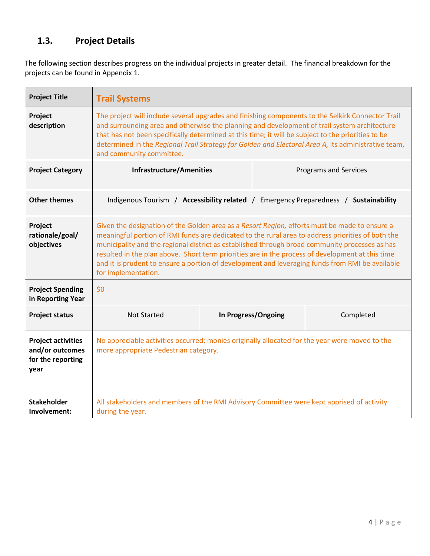## **1.3. Project Details**

The following section describes progress on the individual projects in greater detail. The financial breakdown for the projects can be found in Appendix 1.

| <b>Project Title</b>                                                      | <b>Trail Systems</b>                                                                                                                                                                                                                                                                                                                                                                                                                                                                                                               |  |                                                                                      |  |  |
|---------------------------------------------------------------------------|------------------------------------------------------------------------------------------------------------------------------------------------------------------------------------------------------------------------------------------------------------------------------------------------------------------------------------------------------------------------------------------------------------------------------------------------------------------------------------------------------------------------------------|--|--------------------------------------------------------------------------------------|--|--|
| Project<br>description                                                    | The project will include several upgrades and finishing components to the Selkirk Connector Trail<br>and surrounding area and otherwise the planning and development of trail system architecture<br>that has not been specifically determined at this time; it will be subject to the priorities to be<br>determined in the Regional Trail Strategy for Golden and Electoral Area A, its administrative team,<br>and community committee.                                                                                         |  |                                                                                      |  |  |
| <b>Project Category</b>                                                   | <b>Infrastructure/Amenities</b><br><b>Programs and Services</b>                                                                                                                                                                                                                                                                                                                                                                                                                                                                    |  |                                                                                      |  |  |
| <b>Other themes</b>                                                       |                                                                                                                                                                                                                                                                                                                                                                                                                                                                                                                                    |  | Indigenous Tourism / Accessibility related / Emergency Preparedness / Sustainability |  |  |
| Project<br>rationale/goal/<br>objectives                                  | Given the designation of the Golden area as a Resort Region, efforts must be made to ensure a<br>meaningful portion of RMI funds are dedicated to the rural area to address priorities of both the<br>municipality and the regional district as established through broad community processes as has<br>resulted in the plan above. Short term priorities are in the process of development at this time<br>and it is prudent to ensure a portion of development and leveraging funds from RMI be available<br>for implementation. |  |                                                                                      |  |  |
| <b>Project Spending</b><br>in Reporting Year                              | \$0                                                                                                                                                                                                                                                                                                                                                                                                                                                                                                                                |  |                                                                                      |  |  |
| <b>Project status</b>                                                     | <b>Not Started</b><br>In Progress/Ongoing<br>Completed                                                                                                                                                                                                                                                                                                                                                                                                                                                                             |  |                                                                                      |  |  |
| <b>Project activities</b><br>and/or outcomes<br>for the reporting<br>year | No appreciable activities occurred; monies originally allocated for the year were moved to the<br>more appropriate Pedestrian category.                                                                                                                                                                                                                                                                                                                                                                                            |  |                                                                                      |  |  |
| <b>Stakeholder</b><br>Involvement:                                        | All stakeholders and members of the RMI Advisory Committee were kept apprised of activity<br>during the year.                                                                                                                                                                                                                                                                                                                                                                                                                      |  |                                                                                      |  |  |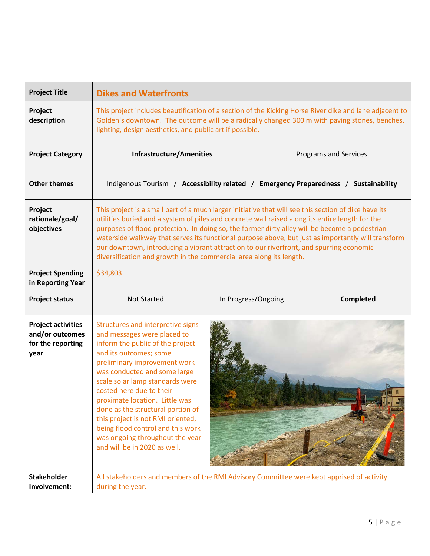| <b>Project Title</b>                                                      | <b>Dikes and Waterfronts</b>                                                                                                                                                                                                                                                                                                                                                                                                                                                                                                                                                     |  |  |  |  |  |
|---------------------------------------------------------------------------|----------------------------------------------------------------------------------------------------------------------------------------------------------------------------------------------------------------------------------------------------------------------------------------------------------------------------------------------------------------------------------------------------------------------------------------------------------------------------------------------------------------------------------------------------------------------------------|--|--|--|--|--|
| Project<br>description                                                    | This project includes beautification of a section of the Kicking Horse River dike and lane adjacent to<br>Golden's downtown. The outcome will be a radically changed 300 m with paving stones, benches,<br>lighting, design aesthetics, and public art if possible.                                                                                                                                                                                                                                                                                                              |  |  |  |  |  |
| <b>Project Category</b>                                                   | <b>Infrastructure/Amenities</b><br><b>Programs and Services</b>                                                                                                                                                                                                                                                                                                                                                                                                                                                                                                                  |  |  |  |  |  |
| <b>Other themes</b>                                                       | Indigenous Tourism / Accessibility related / Emergency Preparedness / Sustainability                                                                                                                                                                                                                                                                                                                                                                                                                                                                                             |  |  |  |  |  |
| Project<br>rationale/goal/<br>objectives                                  | This project is a small part of a much larger initiative that will see this section of dike have its<br>utilities buried and a system of piles and concrete wall raised along its entire length for the<br>purposes of flood protection. In doing so, the former dirty alley will be become a pedestrian<br>waterside walkway that serves its functional purpose above, but just as importantly will transform<br>our downtown, introducing a vibrant attraction to our riverfront, and spurring economic<br>diversification and growth in the commercial area along its length. |  |  |  |  |  |
| <b>Project Spending</b><br>in Reporting Year                              | \$34,803                                                                                                                                                                                                                                                                                                                                                                                                                                                                                                                                                                         |  |  |  |  |  |
| <b>Project status</b>                                                     | In Progress/Ongoing<br><b>Completed</b><br><b>Not Started</b>                                                                                                                                                                                                                                                                                                                                                                                                                                                                                                                    |  |  |  |  |  |
| <b>Project activities</b><br>and/or outcomes<br>for the reporting<br>year | Structures and interpretive signs<br>and messages were placed to<br>inform the public of the project<br>and its outcomes; some<br>preliminary improvement work<br>was conducted and some large<br>scale solar lamp standards were<br>costed here due to their<br>proximate location. Little was<br>done as the structural portion of<br>this project is not RMI oriented,<br>being flood control and this work<br>was ongoing throughout the year<br>and will be in 2020 as well.                                                                                                |  |  |  |  |  |
| <b>Stakeholder</b><br>Involvement:                                        | All stakeholders and members of the RMI Advisory Committee were kept apprised of activity<br>during the year.                                                                                                                                                                                                                                                                                                                                                                                                                                                                    |  |  |  |  |  |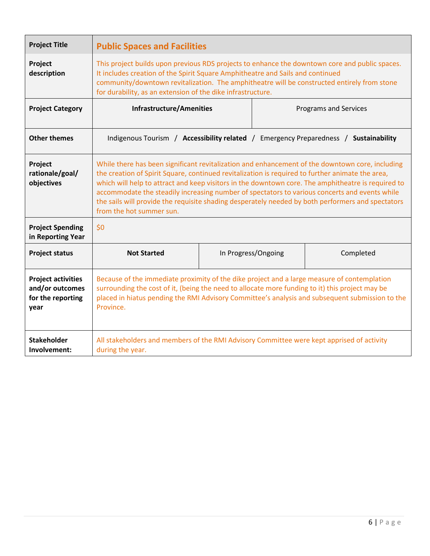| <b>Project Title</b>                                                                                        | <b>Public Spaces and Facilities</b>                                                                                                                                                                                                                                                                                                                                                                                                                                                                                                         |  |  |  |  |
|-------------------------------------------------------------------------------------------------------------|---------------------------------------------------------------------------------------------------------------------------------------------------------------------------------------------------------------------------------------------------------------------------------------------------------------------------------------------------------------------------------------------------------------------------------------------------------------------------------------------------------------------------------------------|--|--|--|--|
| Project<br>description                                                                                      | This project builds upon previous RDS projects to enhance the downtown core and public spaces.<br>It includes creation of the Spirit Square Amphitheatre and Sails and continued<br>community/downtown revitalization. The amphitheatre will be constructed entirely from stone<br>for durability, as an extension of the dike infrastructure.                                                                                                                                                                                              |  |  |  |  |
| <b>Project Category</b>                                                                                     | <b>Infrastructure/Amenities</b><br><b>Programs and Services</b>                                                                                                                                                                                                                                                                                                                                                                                                                                                                             |  |  |  |  |
| <b>Other themes</b><br>Indigenous Tourism / Accessibility related / Emergency Preparedness / Sustainability |                                                                                                                                                                                                                                                                                                                                                                                                                                                                                                                                             |  |  |  |  |
| Project<br>rationale/goal/<br>objectives                                                                    | While there has been significant revitalization and enhancement of the downtown core, including<br>the creation of Spirit Square, continued revitalization is required to further animate the area,<br>which will help to attract and keep visitors in the downtown core. The amphitheatre is required to<br>accommodate the steadily increasing number of spectators to various concerts and events while<br>the sails will provide the requisite shading desperately needed by both performers and spectators<br>from the hot summer sun. |  |  |  |  |
| <b>Project Spending</b><br>in Reporting Year                                                                | \$0                                                                                                                                                                                                                                                                                                                                                                                                                                                                                                                                         |  |  |  |  |
| <b>Project status</b>                                                                                       | <b>Not Started</b><br>In Progress/Ongoing<br>Completed                                                                                                                                                                                                                                                                                                                                                                                                                                                                                      |  |  |  |  |
| <b>Project activities</b><br>and/or outcomes<br>for the reporting<br>year                                   | Because of the immediate proximity of the dike project and a large measure of contemplation<br>surrounding the cost of it, (being the need to allocate more funding to it) this project may be<br>placed in hiatus pending the RMI Advisory Committee's analysis and subsequent submission to the<br>Province.                                                                                                                                                                                                                              |  |  |  |  |
| <b>Stakeholder</b><br>Involvement:                                                                          | All stakeholders and members of the RMI Advisory Committee were kept apprised of activity<br>during the year.                                                                                                                                                                                                                                                                                                                                                                                                                               |  |  |  |  |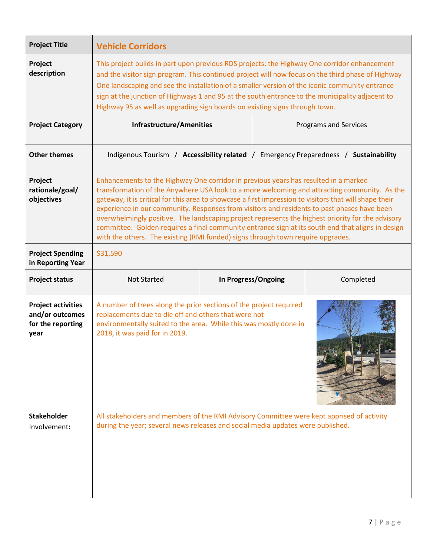| <b>Project Title</b>                                                      | <b>Vehicle Corridors</b>                                                                                                                                                                                                                                                                                                                                                                                                                                                                                                                                                                                                                                                                  |  |  |                       |  |  |
|---------------------------------------------------------------------------|-------------------------------------------------------------------------------------------------------------------------------------------------------------------------------------------------------------------------------------------------------------------------------------------------------------------------------------------------------------------------------------------------------------------------------------------------------------------------------------------------------------------------------------------------------------------------------------------------------------------------------------------------------------------------------------------|--|--|-----------------------|--|--|
| Project<br>description                                                    | This project builds in part upon previous RDS projects: the Highway One corridor enhancement<br>and the visitor sign program. This continued project will now focus on the third phase of Highway<br>One landscaping and see the installation of a smaller version of the iconic community entrance<br>sign at the junction of Highways 1 and 95 at the south entrance to the municipality adjacent to<br>Highway 95 as well as upgrading sign boards on existing signs through town.                                                                                                                                                                                                     |  |  |                       |  |  |
| <b>Project Category</b>                                                   | <b>Infrastructure/Amenities</b>                                                                                                                                                                                                                                                                                                                                                                                                                                                                                                                                                                                                                                                           |  |  | Programs and Services |  |  |
| <b>Other themes</b>                                                       | Indigenous Tourism / Accessibility related / Emergency Preparedness / Sustainability                                                                                                                                                                                                                                                                                                                                                                                                                                                                                                                                                                                                      |  |  |                       |  |  |
| Project<br>rationale/goal/<br>objectives                                  | Enhancements to the Highway One corridor in previous years has resulted in a marked<br>transformation of the Anywhere USA look to a more welcoming and attracting community. As the<br>gateway, it is critical for this area to showcase a first impression to visitors that will shape their<br>experience in our community. Responses from visitors and residents to past phases have been<br>overwhelmingly positive. The landscaping project represents the highest priority for the advisory<br>committee. Golden requires a final community entrance sign at its south end that aligns in design<br>with the others. The existing (RMI funded) signs through town require upgrades. |  |  |                       |  |  |
| <b>Project Spending</b><br>in Reporting Year                              | \$31,590                                                                                                                                                                                                                                                                                                                                                                                                                                                                                                                                                                                                                                                                                  |  |  |                       |  |  |
| <b>Project status</b>                                                     | In Progress/Ongoing<br><b>Not Started</b><br>Completed                                                                                                                                                                                                                                                                                                                                                                                                                                                                                                                                                                                                                                    |  |  |                       |  |  |
|                                                                           |                                                                                                                                                                                                                                                                                                                                                                                                                                                                                                                                                                                                                                                                                           |  |  |                       |  |  |
| <b>Project activities</b><br>and/or outcomes<br>for the reporting<br>year | A number of trees along the prior sections of the project required<br>replacements due to die off and others that were not<br>environmentally suited to the area. While this was mostly done in<br>2018, it was paid for in 2019.                                                                                                                                                                                                                                                                                                                                                                                                                                                         |  |  |                       |  |  |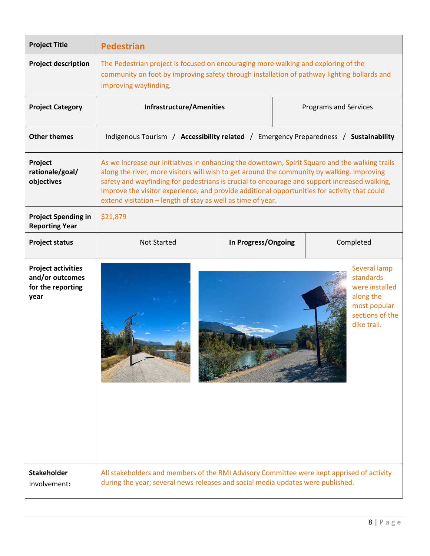| <b>Project Title</b>                                                      | <b>Pedestrian</b>                                                                                                                                                                                                                                                                                                                                                                                                                                           |  |  |                                                                                                            |  |
|---------------------------------------------------------------------------|-------------------------------------------------------------------------------------------------------------------------------------------------------------------------------------------------------------------------------------------------------------------------------------------------------------------------------------------------------------------------------------------------------------------------------------------------------------|--|--|------------------------------------------------------------------------------------------------------------|--|
| <b>Project description</b>                                                | The Pedestrian project is focused on encouraging more walking and exploring of the<br>community on foot by improving safety through installation of pathway lighting bollards and<br>improving wayfinding.                                                                                                                                                                                                                                                  |  |  |                                                                                                            |  |
| <b>Project Category</b>                                                   | <b>Infrastructure/Amenities</b><br><b>Programs and Services</b>                                                                                                                                                                                                                                                                                                                                                                                             |  |  |                                                                                                            |  |
| <b>Other themes</b>                                                       | Indigenous Tourism / Accessibility related / Emergency Preparedness / Sustainability                                                                                                                                                                                                                                                                                                                                                                        |  |  |                                                                                                            |  |
| Project<br>rationale/goal/<br>objectives                                  | As we increase our initiatives in enhancing the downtown, Spirit Square and the walking trails<br>along the river, more visitors will wish to get around the community by walking. Improving<br>safety and wayfinding for pedestrians is crucial to encourage and support increased walking,<br>improve the visitor experience, and provide additional opportunities for activity that could<br>extend visitation - length of stay as well as time of year. |  |  |                                                                                                            |  |
| <b>Project Spending in</b><br><b>Reporting Year</b>                       | \$21,879                                                                                                                                                                                                                                                                                                                                                                                                                                                    |  |  |                                                                                                            |  |
| <b>Project status</b>                                                     | In Progress/Ongoing<br><b>Not Started</b><br>Completed                                                                                                                                                                                                                                                                                                                                                                                                      |  |  |                                                                                                            |  |
| <b>Project activities</b><br>and/or outcomes<br>for the reporting<br>year |                                                                                                                                                                                                                                                                                                                                                                                                                                                             |  |  | Several lamp<br>standards<br>were installed<br>along the<br>most popular<br>sections of the<br>dike trail. |  |
| <b>Stakeholder</b><br>Involvement:                                        | All stakeholders and members of the RMI Advisory Committee were kept apprised of activity<br>during the year; several news releases and social media updates were published.                                                                                                                                                                                                                                                                                |  |  |                                                                                                            |  |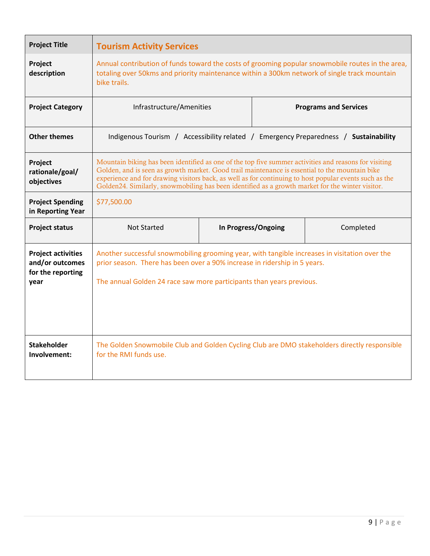| <b>Project Title</b>                                                      | <b>Tourism Activity Services</b>                                                                                                                                                                                                                                                                                                                                                                                      |  |  |                              |  |  |
|---------------------------------------------------------------------------|-----------------------------------------------------------------------------------------------------------------------------------------------------------------------------------------------------------------------------------------------------------------------------------------------------------------------------------------------------------------------------------------------------------------------|--|--|------------------------------|--|--|
| Project<br>description                                                    | Annual contribution of funds toward the costs of grooming popular snowmobile routes in the area,<br>totaling over 50kms and priority maintenance within a 300km network of single track mountain<br>bike trails.                                                                                                                                                                                                      |  |  |                              |  |  |
| <b>Project Category</b>                                                   | Infrastructure/Amenities                                                                                                                                                                                                                                                                                                                                                                                              |  |  | <b>Programs and Services</b> |  |  |
| <b>Other themes</b>                                                       | Indigenous Tourism / Accessibility related / Emergency Preparedness / Sustainability                                                                                                                                                                                                                                                                                                                                  |  |  |                              |  |  |
| Project<br>rationale/goal/<br>objectives                                  | Mountain biking has been identified as one of the top five summer activities and reasons for visiting<br>Golden, and is seen as growth market. Good trail maintenance is essential to the mountain bike<br>experience and for drawing visitors back, as well as for continuing to host popular events such as the<br>Golden24. Similarly, snowmobiling has been identified as a growth market for the winter visitor. |  |  |                              |  |  |
| <b>Project Spending</b><br>in Reporting Year                              | \$77,500.00                                                                                                                                                                                                                                                                                                                                                                                                           |  |  |                              |  |  |
| <b>Project status</b>                                                     | In Progress/Ongoing<br><b>Not Started</b><br>Completed                                                                                                                                                                                                                                                                                                                                                                |  |  |                              |  |  |
| <b>Project activities</b><br>and/or outcomes<br>for the reporting<br>year | Another successful snowmobiling grooming year, with tangible increases in visitation over the<br>prior season. There has been over a 90% increase in ridership in 5 years.<br>The annual Golden 24 race saw more participants than years previous.                                                                                                                                                                    |  |  |                              |  |  |
| <b>Stakeholder</b><br>Involvement:                                        | The Golden Snowmobile Club and Golden Cycling Club are DMO stakeholders directly responsible<br>for the RMI funds use.                                                                                                                                                                                                                                                                                                |  |  |                              |  |  |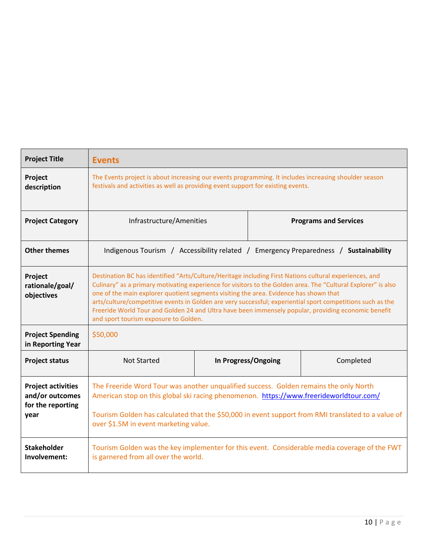| <b>Project Title</b>                                                      | <b>Events</b>                                                                                                                                                                                                                                                                                                                                                                                                                                                                                                                                                                  |  |  |  |  |  |
|---------------------------------------------------------------------------|--------------------------------------------------------------------------------------------------------------------------------------------------------------------------------------------------------------------------------------------------------------------------------------------------------------------------------------------------------------------------------------------------------------------------------------------------------------------------------------------------------------------------------------------------------------------------------|--|--|--|--|--|
| Project<br>description                                                    | The Events project is about increasing our events programming. It includes increasing shoulder season<br>festivals and activities as well as providing event support for existing events.                                                                                                                                                                                                                                                                                                                                                                                      |  |  |  |  |  |
| <b>Project Category</b>                                                   | Infrastructure/Amenities<br><b>Programs and Services</b>                                                                                                                                                                                                                                                                                                                                                                                                                                                                                                                       |  |  |  |  |  |
| <b>Other themes</b>                                                       | Indigenous Tourism / Accessibility related / Emergency Preparedness / Sustainability                                                                                                                                                                                                                                                                                                                                                                                                                                                                                           |  |  |  |  |  |
| Project<br>rationale/goal/<br>objectives                                  | Destination BC has identified "Arts/Culture/Heritage including First Nations cultural experiences, and<br>Culinary" as a primary motivating experience for visitors to the Golden area. The "Cultural Explorer" is also<br>one of the main explorer quotient segments visiting the area. Evidence has shown that<br>arts/culture/competitive events in Golden are very successful; experiential sport competitions such as the<br>Freeride World Tour and Golden 24 and Ultra have been immensely popular, providing economic benefit<br>and sport tourism exposure to Golden. |  |  |  |  |  |
| <b>Project Spending</b><br>in Reporting Year                              | \$50,000                                                                                                                                                                                                                                                                                                                                                                                                                                                                                                                                                                       |  |  |  |  |  |
| <b>Project status</b>                                                     | <b>Not Started</b><br>In Progress/Ongoing<br>Completed                                                                                                                                                                                                                                                                                                                                                                                                                                                                                                                         |  |  |  |  |  |
| <b>Project activities</b><br>and/or outcomes<br>for the reporting<br>year | The Freeride Word Tour was another unqualified success. Golden remains the only North<br>American stop on this global ski racing phenomenon. https://www.freerideworldtour.com/<br>Tourism Golden has calculated that the \$50,000 in event support from RMI translated to a value of<br>over \$1.5M in event marketing value.                                                                                                                                                                                                                                                 |  |  |  |  |  |
| <b>Stakeholder</b><br>Involvement:                                        | Tourism Golden was the key implementer for this event. Considerable media coverage of the FWT<br>is garnered from all over the world.                                                                                                                                                                                                                                                                                                                                                                                                                                          |  |  |  |  |  |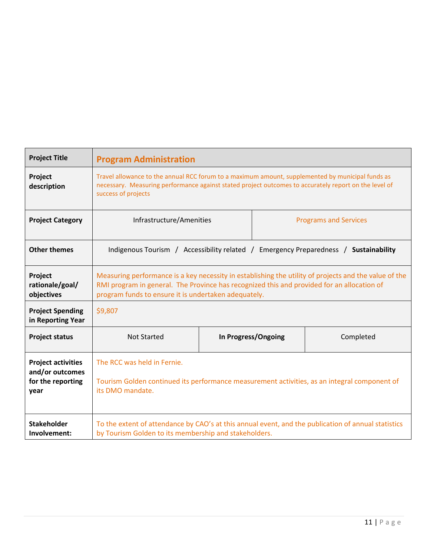| <b>Project Title</b>                                                      | <b>Program Administration</b>                                                                                                                                                                                                                               |  |  |  |  |
|---------------------------------------------------------------------------|-------------------------------------------------------------------------------------------------------------------------------------------------------------------------------------------------------------------------------------------------------------|--|--|--|--|
| Project<br>description                                                    | Travel allowance to the annual RCC forum to a maximum amount, supplemented by municipal funds as<br>necessary. Measuring performance against stated project outcomes to accurately report on the level of<br>success of projects                            |  |  |  |  |
| <b>Project Category</b>                                                   | Infrastructure/Amenities<br><b>Programs and Services</b>                                                                                                                                                                                                    |  |  |  |  |
| <b>Other themes</b>                                                       | Indigenous Tourism / Accessibility related / Emergency Preparedness / Sustainability                                                                                                                                                                        |  |  |  |  |
| Project<br>rationale/goal/<br>objectives                                  | Measuring performance is a key necessity in establishing the utility of projects and the value of the<br>RMI program in general. The Province has recognized this and provided for an allocation of<br>program funds to ensure it is undertaken adequately. |  |  |  |  |
| <b>Project Spending</b><br>in Reporting Year                              | \$9,807                                                                                                                                                                                                                                                     |  |  |  |  |
| <b>Project status</b>                                                     | <b>Not Started</b><br>In Progress/Ongoing<br>Completed                                                                                                                                                                                                      |  |  |  |  |
| <b>Project activities</b><br>and/or outcomes<br>for the reporting<br>year | The RCC was held in Fernie.<br>Tourism Golden continued its performance measurement activities, as an integral component of<br>its DMO mandate.                                                                                                             |  |  |  |  |
| <b>Stakeholder</b><br>Involvement:                                        | To the extent of attendance by CAO's at this annual event, and the publication of annual statistics<br>by Tourism Golden to its membership and stakeholders.                                                                                                |  |  |  |  |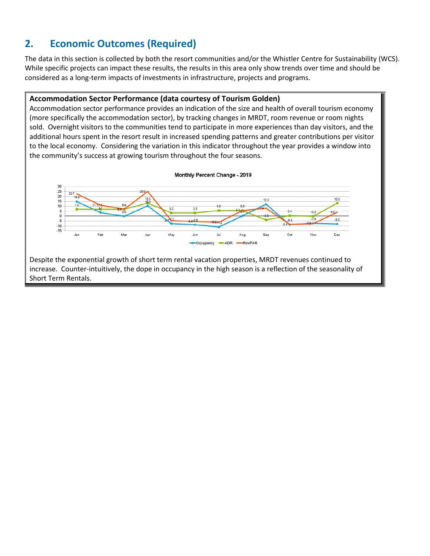#### **2. Economic Outcomes (Required)**

The data in this section is collected by both the resort communities and/or the Whistler Centre for Sustainability (WCS). While specific projects can impact these results, the results in this area only show trends over time and should be considered as a long-term impacts of investments in infrastructure, projects and programs.

#### **Accommodation Sector Performance (data courtesy of Tourism Golden)**

Accommodation sector performance provides an indication of the size and health of overall tourism economy (more specifically the accommodation sector), by tracking changes in MRDT, room revenue or room nights sold. Overnight visitors to the communities tend to participate in more experiences than day visitors, and the additional hours spent in the resort result in increased spending patterns and greater contributions per visitor to the local economy. Considering the variation in this indicator throughout the year provides a window into the community's success at growing tourism throughout the four seasons.



Despite the exponential growth of short term rental vacation properties, MRDT revenues continued to increase. Counter-intuitively, the dope in occupancy in the high season is a reflection of the seasonality of Short Term Rentals.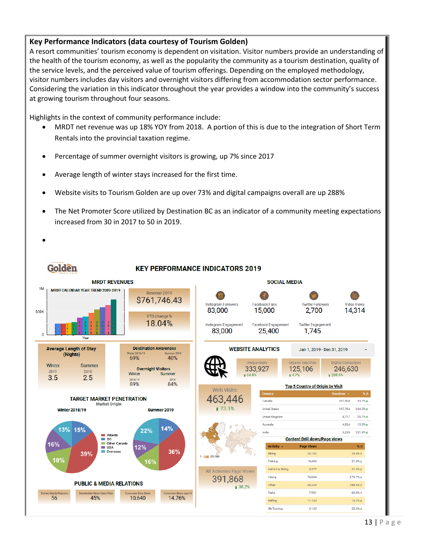#### **Key Performance Indicators (data courtesy of Tourism Golden)**

A resort communities' tourism economy is dependent on visitation. Visitor numbers provide an understanding of the health of the tourism economy, as well as the popularity the community as a tourism destination, quality of the service levels, and the perceived value of tourism offerings. Depending on the employed methodology, visitor numbers includes day visitors and overnight visitors differing from accommodation sector performance. Considering the variation in this indicator throughout the year provides a window into the community's success at growing tourism throughout four seasons.

Highlights in the context of community performance include:

- MRDT net revenue was up 18% YOY from 2018. A portion of this is due to the integration of Short Term Rentals into the provincial taxation regime.
- Percentage of summer overnight visitors is growing, up 7% since 2017
- Average length of winter stays increased for the first time.
- Website visits to Tourism Golden are up over 73% and digital campaigns overall are up 288%
- The Net Promoter Score utilized by Destination BC as an indicator of a community meeting expectations increased from 30 in 2017 to 50 in 2019.

•

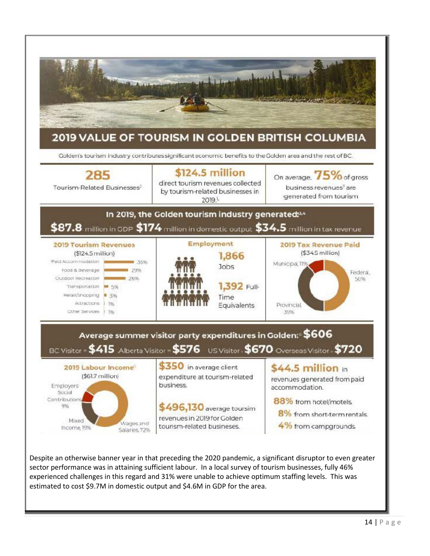

Despite an otherwise banner year in that preceding the 2020 pandemic, a significant disruptor to even greater sector performance was in attaining sufficient labour. In a local survey of tourism businesses, fully 46% experienced challenges in this regard and 31% were unable to achieve optimum staffing levels. This was estimated to cost \$9.7M in domestic output and \$4.6M in GDP for the area.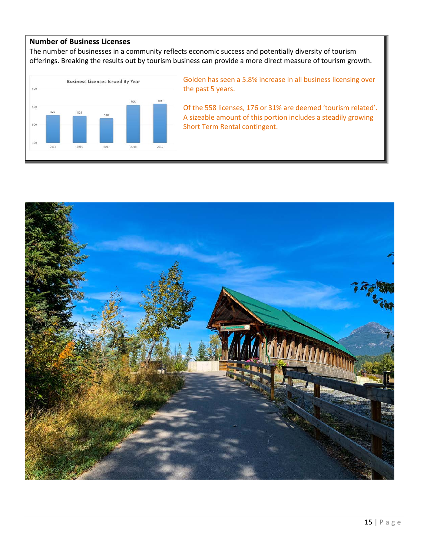#### **Number of Business Licenses**

The number of businesses in a community reflects economic success and potentially diversity of tourism offerings. Breaking the results out by tourism business can provide a more direct measure of tourism growth.



Golden has seen a 5.8% increase in all business licensing over the past 5 years.

Of the 558 licenses, 176 or 31% are deemed 'tourism related'. A sizeable amount of this portion includes a steadily growing Short Term Rental contingent.